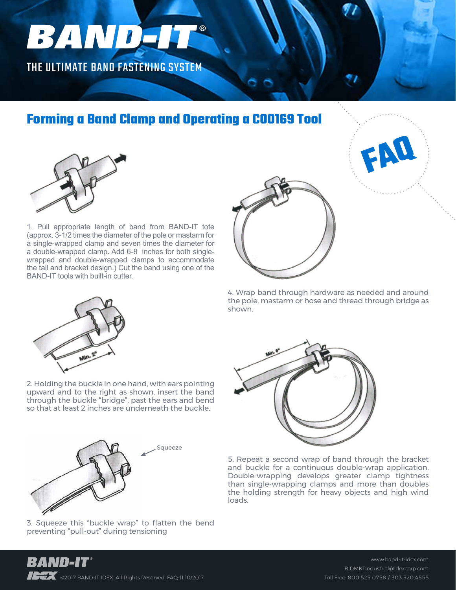## BANDJI

THE ULTIMATE BAND FASTENING SYSTEM

## **Forming a Band Clamp and Operating a C00169 Tool**



1. Pull appropriate length of band from BAND-IT tote (approx. 3-1/2 times the diameter of the pole or mastarm for a single-wrapped clamp and seven times the diameter for a double-wrapped clamp. Add 6-8 inches for both singlewrapped and double-wrapped clamps to accommodate the tail and bracket design.) Cut the band using one of the BAND-IT tools with built-in cutter.



4. Wrap band through hardware as needed and around the pole, mastarm or hose and thread through bridge as shown.

**FAQ**



2. Holding the buckle in one hand, with ears pointing upward and to the right as shown, insert the band through the buckle "bridge", past the ears and bend so that at least 2 inches are underneath the buckle.

**Squeeze** 



5. Repeat a second wrap of band through the bracket and buckle for a continuous double-wrap application. Double-wrapping develops greater clamp tightness than single-wrapping clamps and more than doubles the holding strength for heavy objects and high wind loads.



3. Squeeze this "buckle wrap" to flatten the bend preventing "pull-out" during tensioning



www.band-it-idex.com BIDMKTIndustrial@idexcorp.com